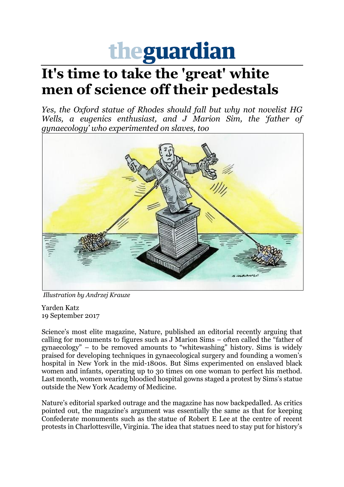## theguardian

## **It's time to take the 'great' white men of science off their pedestals**

*Yes, the Oxford statue of Rhodes should fall but why not novelist HG Wells, a eugenics enthusiast, and J Marion Sim, the 'father of gynaecology' who experimented on slaves, too*



*Illustration by Andrzej Krauze*

[Yarden Katz](https://www.theguardian.com/profile/yarden-katz) 19 September 2017

Science's most elite magazine, Nature, published an editorial recently arguing that calling for monuments to figures such as J Marion Sims – often called the "father of gynaecology" – to be removed amounts to "whitewashing" history. Sims is widely praised for developing techniques in gynaecological surgery and founding a women's hospital in New York in the mid-1800s. But Sims experimented on enslaved black women and infants, operating up to 30 times on one woman to perfect his method. Last month, women wearing bloodied hospital gowns staged a protest by Sims's statue outside the New York Academy of Medicine.

Nature's editorial sparked outrage and the magazine has now backpedalled. As critics pointed out, the magazine's argument was essentially the same as that for keeping Confederate monuments such as the statue of Robert E Lee at the centre of recent protests in Charlottesville, Virginia. The idea that statues need to stay put for history's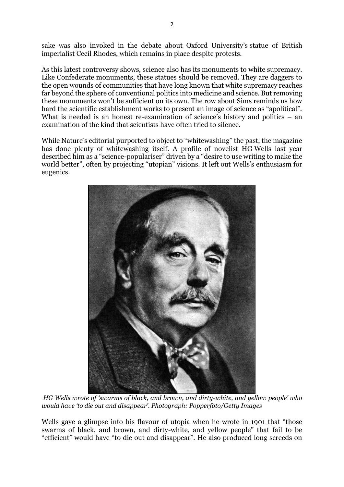sake was also invoked in the debate about Oxford University's statue of British imperialist Cecil Rhodes, which remains in place despite protests.

As this latest controversy shows, science also has its monuments to white supremacy. Like Confederate monuments, these statues should be removed. They are daggers to the open wounds of communities that have long known that white supremacy reaches far beyond the sphere of conventional politics into medicine and science. But removing these monuments won't be sufficient on its own. The row about Sims reminds us how hard the scientific establishment works to present an image of science as "apolitical". What is needed is an honest re-examination of science's history and politics – an examination of the kind that scientists have often tried to silence.

While Nature's editorial purported to object to "whitewashing" the past, the magazine has done plenty of whitewashing itself. A profile of novelist HG Wells last year described him as a "science-populariser" driven by a "desire to use writing to make the world better", often by projecting "utopian" visions. It left out Wells's enthusiasm for eugenics.



*HG Wells wrote of 'swarms of black, and brown, and dirty-white, and yellow people' who would have 'to die out and disappear'. Photograph: Popperfoto/Getty Images*

Wells gave a glimpse into his flavour of utopia when he wrote in 1901 that "those swarms of black, and brown, and dirty-white, and yellow people" that fail to be "efficient" would have "to die out and disappear". He also produced long screeds on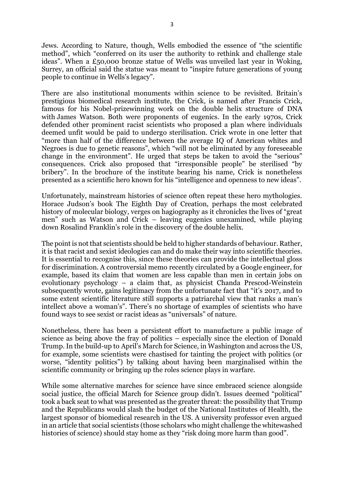Jews. According to Nature, though, Wells embodied the essence of "the scientific method", which "conferred on its user the authority to rethink and challenge stale ideas". When a £50,000 bronze statue of Wells was unveiled last year in Woking, Surrey, an official said the statue was meant to "inspire future generations of young people to continue in Wells's legacy".

There are also institutional monuments within science to be revisited. Britain's prestigious biomedical research institute, the Crick, is named after Francis Crick, famous for his Nobel-prizewinning work on the double helix structure of DNA with James Watson. Both were proponents of eugenics. In the early 1970s, Crick defended other prominent racist scientists who proposed a plan where individuals deemed unfit would be paid to undergo sterilisation. Crick wrote in one letter that "more than half of the difference between the average IQ of American whites and Negroes is due to genetic reasons", which "will not be eliminated by any foreseeable change in the environment". He urged that steps be taken to avoid the "serious" consequences. Crick also proposed that "irresponsible people" be sterilised "by bribery". In the brochure of the institute bearing his name, Crick is nonetheless presented as a scientific hero known for his "intelligence and openness to new ideas".

Unfortunately, mainstream histories of science often repeat these hero mythologies. Horace Judson's book The Eighth Day of Creation, perhaps the most celebrated history of molecular biology, verges on hagiography as it chronicles the lives of "great men" such as Watson and Crick – leaving eugenics unexamined, while playing down Rosalind Franklin's role in the discovery of the double helix.

The point is not that scientists should be held to higher standards of behaviour. Rather, it is that racist and sexist ideologies can and do make their way into scientific theories. It is essential to recognise this, since these theories can provide the intellectual gloss for discrimination. A controversial memo recently circulated by a Google engineer, for example, based its claim that women are less capable than men in certain jobs on evolutionary psychology – a claim that, as physicist Chanda Prescod-Weinstein subsequently wrote, gains legitimacy from the unfortunate fact that "it's 2017, and to some extent scientific literature still supports a patriarchal view that ranks a man's intellect above a woman's". There's no shortage of examples of scientists who have found ways to see sexist or racist ideas as "universals" of nature.

Nonetheless, there has been a persistent effort to manufacture a public image of science as being above the fray of politics – especially since the election of Donald Trump. In the build-up to April's March for Science, in Washington and across the US, for example, some scientists were chastised for tainting the project with politics (or worse, "identity politics") by talking about having been marginalised within the scientific community or bringing up the roles science plays in warfare.

While some alternative marches for science have since embraced science alongside social justice, the official March for Science group didn't. Issues deemed "political" took a back seat to what was presented as the greater threat: the possibility that Trump and the Republicans would slash the budget of the National Institutes of Health, the largest sponsor of biomedical research in the US. A university professor even argued in an article that social scientists (those scholars who might challenge the whitewashed histories of science) should stay home as they "risk doing more harm than good".